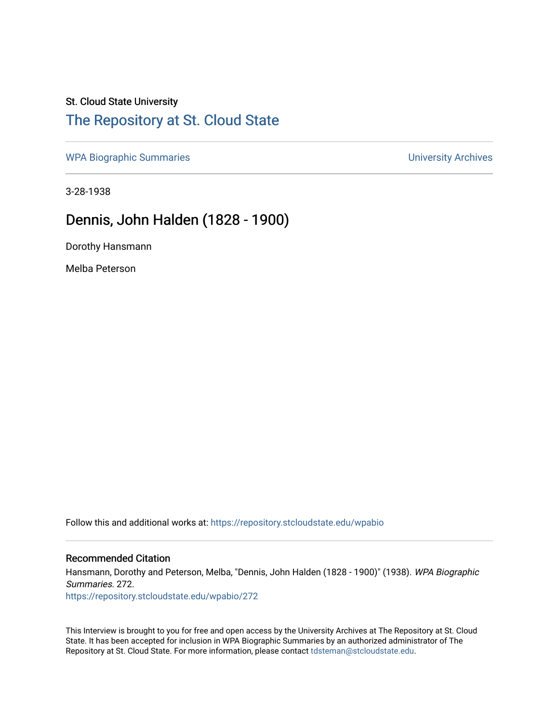# St. Cloud State University

### [The Repository at St. Cloud State](https://repository.stcloudstate.edu/)

[WPA Biographic Summaries](https://repository.stcloudstate.edu/wpabio) **WPA Biographic Summaries University Archives** 

3-28-1938

## Dennis, John Halden (1828 - 1900)

Dorothy Hansmann

Melba Peterson

Follow this and additional works at: [https://repository.stcloudstate.edu/wpabio](https://repository.stcloudstate.edu/wpabio?utm_source=repository.stcloudstate.edu%2Fwpabio%2F272&utm_medium=PDF&utm_campaign=PDFCoverPages) 

#### Recommended Citation

Hansmann, Dorothy and Peterson, Melba, "Dennis, John Halden (1828 - 1900)" (1938). WPA Biographic Summaries. 272.

[https://repository.stcloudstate.edu/wpabio/272](https://repository.stcloudstate.edu/wpabio/272?utm_source=repository.stcloudstate.edu%2Fwpabio%2F272&utm_medium=PDF&utm_campaign=PDFCoverPages) 

This Interview is brought to you for free and open access by the University Archives at The Repository at St. Cloud State. It has been accepted for inclusion in WPA Biographic Summaries by an authorized administrator of The Repository at St. Cloud State. For more information, please contact [tdsteman@stcloudstate.edu.](mailto:tdsteman@stcloudstate.edu)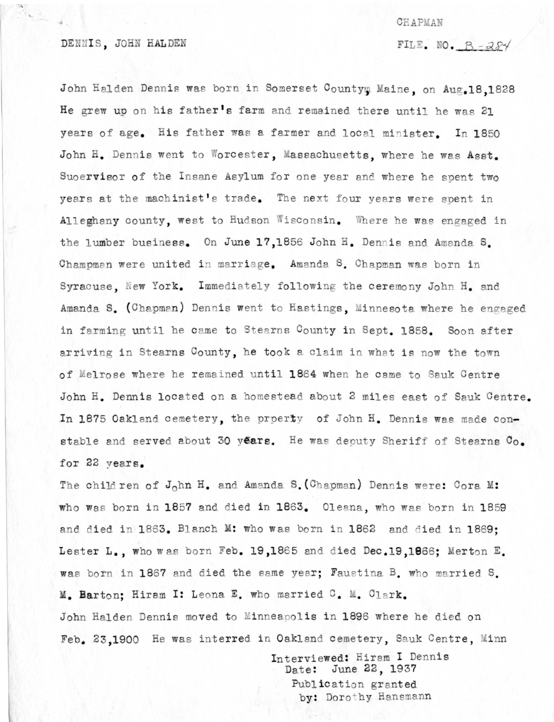#### CHAPMAN

FILE. NO.  $B - 284$ 

John Halden Dennis was born in Somerset Countym Maine, on Aug.18.1828 He grew up on his father's farm and remained there until he was 21 years of age. His father was a farmer and local minister. In 1850 John H. Dennis went to Worcester, Massachusetts, where he was Asst. Suoervisor of the Insane Asylum for one year and where he spent two years at the machinist's trade. The next four years were spent in Alleghany county, west to Hudson Wisconsin. Where he was engaged in the lumber business. On June 17,1856 John H. Dennis and Amanda S. Champman were united in marriage. Amanda S. Chapman was born in Syracuse. New York. Immediately following the ceremony John H. and Amanda S. (Chapman) Dennis went to Hastings, Minnesota where he engaged in farming until he came to Stearns County in Sept. 1858. Soon after arriving in Stearns County, he took a claim in what is now the town of Melrose where he remained until 1864 when he came to Sauk Centre John H. Dennis located on a homestead about 2 miles east of Sauk Centre. In 1875 Oakland cemetery, the prperty of John H. Dennis was made constable and served about 30 years. He was deputy Sheriff of Stearns Co. for 22 years.

The child ren of John H. and Amanda S. (Chapman) Dennis were: Cora M: who was born in 1857 and died in 1863. Oleana, who was born in 1859 and died in 1863. Blanch M: who was born in 1862 and died in 1869: Lester L., who was born Feb. 19,1865 and died Dec.19,1866; Merton E. was born in 1867 and died the same year; Faustina B. who married S. M. Barton: Hiram I: Leona E. who married C. M. Clark. John Halden Dennis moved to Minneapolis in 1896 where he died on Feb. 23,1900 He was interred in Oakland cemetery, Sauk Centre, Minn

> Interviewed: Hiram I Dennis Date: June 22, 1937 Publication granted by: Dorothy Hansmann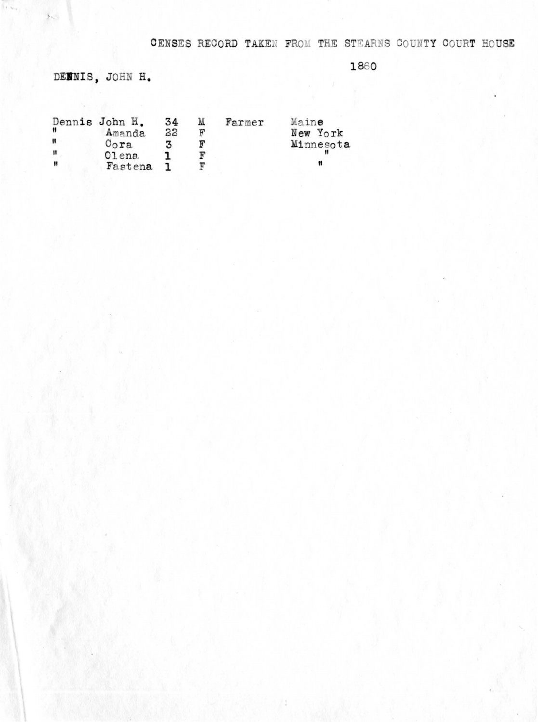CENSES RECORD TAKEN FROM THE STEARNS COUNTY COURT HOUSE

1860

DENNIS, JOHN H.

 $\overline{\mathbf{z}}$ 

|    | Dennis John H. | 34 | М | Farmer | Maine     |
|----|----------------|----|---|--------|-----------|
|    | Amanda         | 22 | ᡎ |        | New York  |
| 11 | $0o$ ra        |    |   |        | Minnesota |
| Ħ  | $O1$ ena       |    |   |        |           |
| Ħ  | Fastena        |    |   |        |           |